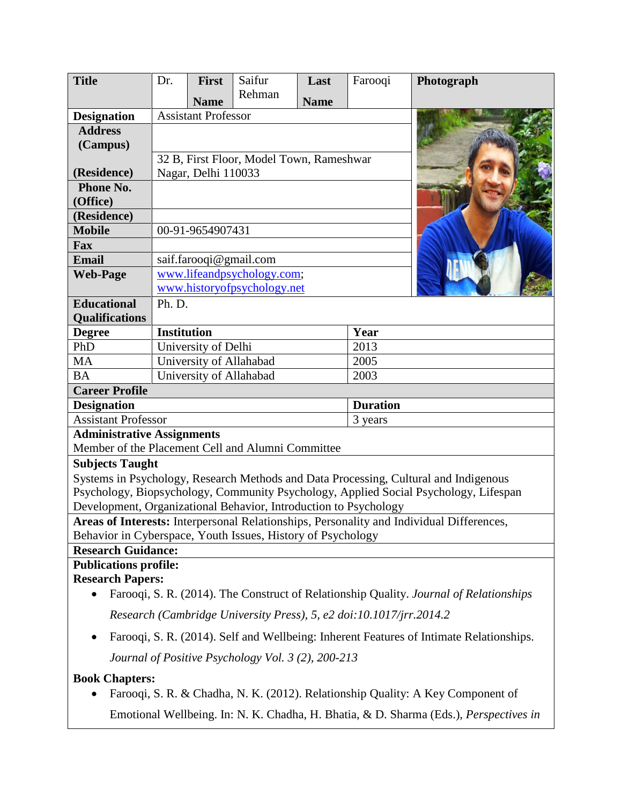| <b>Title</b>                                                                             | Dr.                                      | <b>First</b> | Saifur | Last        | Farooqi | Photograph |
|------------------------------------------------------------------------------------------|------------------------------------------|--------------|--------|-------------|---------|------------|
|                                                                                          |                                          | <b>Name</b>  | Rehman | <b>Name</b> |         |            |
| <b>Designation</b>                                                                       | <b>Assistant Professor</b>               |              |        |             |         |            |
| <b>Address</b>                                                                           |                                          |              |        |             |         |            |
| (Campus)                                                                                 |                                          |              |        |             |         |            |
|                                                                                          | 32 B, First Floor, Model Town, Rameshwar |              |        |             |         |            |
| (Residence)                                                                              | Nagar, Delhi 110033                      |              |        |             |         |            |
| Phone No.                                                                                |                                          |              |        |             |         |            |
| (Office)                                                                                 |                                          |              |        |             |         |            |
| (Residence)                                                                              |                                          |              |        |             |         |            |
| <b>Mobile</b>                                                                            | 00-91-9654907431                         |              |        |             |         |            |
| Fax                                                                                      |                                          |              |        |             |         |            |
| Email                                                                                    | saif.farooqi@gmail.com                   |              |        |             |         |            |
| <b>Web-Page</b>                                                                          | www.lifeandpsychology.com;               |              |        |             |         |            |
|                                                                                          | www.historyofpsychology.net              |              |        |             |         |            |
| <b>Educational</b>                                                                       | Ph. D.                                   |              |        |             |         |            |
| <b>Qualifications</b>                                                                    |                                          |              |        |             |         |            |
| <b>Degree</b>                                                                            | <b>Institution</b>                       |              |        |             | Year    |            |
| PhD                                                                                      | University of Delhi                      |              |        |             | 2013    |            |
| <b>MA</b>                                                                                | University of Allahabad                  |              |        |             | 2005    |            |
| <b>BA</b>                                                                                | University of Allahabad<br>2003          |              |        |             |         |            |
| <b>Career Profile</b><br><b>Designation</b><br><b>Duration</b>                           |                                          |              |        |             |         |            |
| <b>Assistant Professor</b>                                                               |                                          |              |        |             | 3 years |            |
| <b>Administrative Assignments</b>                                                        |                                          |              |        |             |         |            |
| Member of the Placement Cell and Alumni Committee                                        |                                          |              |        |             |         |            |
| <b>Subjects Taught</b>                                                                   |                                          |              |        |             |         |            |
| Systems in Psychology, Research Methods and Data Processing, Cultural and Indigenous     |                                          |              |        |             |         |            |
| Psychology, Biopsychology, Community Psychology, Applied Social Psychology, Lifespan     |                                          |              |        |             |         |            |
| Development, Organizational Behavior, Introduction to Psychology                         |                                          |              |        |             |         |            |
| Areas of Interests: Interpersonal Relationships, Personality and Individual Differences, |                                          |              |        |             |         |            |
| Behavior in Cyberspace, Youth Issues, History of Psychology                              |                                          |              |        |             |         |            |
| <b>Research Guidance:</b>                                                                |                                          |              |        |             |         |            |
| <b>Publications profile:</b>                                                             |                                          |              |        |             |         |            |
| <b>Research Papers:</b>                                                                  |                                          |              |        |             |         |            |
| Farooqi, S. R. (2014). The Construct of Relationship Quality. Journal of Relationships   |                                          |              |        |             |         |            |
| Research (Cambridge University Press), 5, e2 doi:10.1017/jrr.2014.2                      |                                          |              |        |             |         |            |
| Farooqi, S. R. (2014). Self and Wellbeing: Inherent Features of Intimate Relationships.  |                                          |              |        |             |         |            |
| Journal of Positive Psychology Vol. 3 (2), 200-213                                       |                                          |              |        |             |         |            |
| <b>Book Chapters:</b>                                                                    |                                          |              |        |             |         |            |
| Farooqi, S. R. & Chadha, N. K. (2012). Relationship Quality: A Key Component of          |                                          |              |        |             |         |            |
| Emotional Wellbeing. In: N. K. Chadha, H. Bhatia, & D. Sharma (Eds.), Perspectives in    |                                          |              |        |             |         |            |